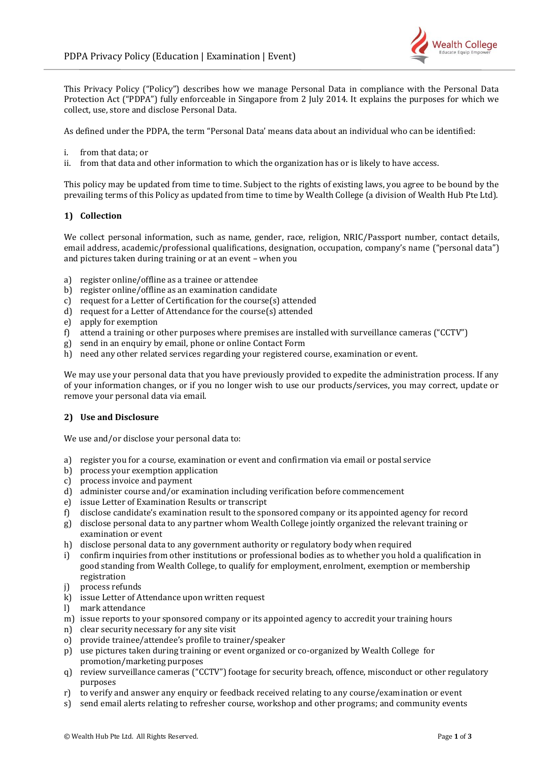

This Privacy Policy ("Policy") describes how we manage Personal Data in compliance with the Personal Data Protection Act ("PDPA") fully enforceable in Singapore from 2 July 2014. It explains the purposes for which we collect, use, store and disclose Personal Data.

As defined under the PDPA, the term "Personal Data' means data about an individual who can be identified:

- i. from that data; or
- ii. from that data and other information to which the organization has or is likely to have access.

This policy may be updated from time to time. Subject to the rights of existing laws, you agree to be bound by the prevailing terms of this Policy as updated from time to time by Wealth College (a division of Wealth Hub Pte Ltd).

### **1) Collection**

We collect personal information, such as name, gender, race, religion, NRIC/Passport number, contact details, email address, academic/professional qualifications, designation, occupation, company's name ("personal data") and pictures taken during training or at an event – when you

- a) register online/offline as a trainee or attendee
- b) register online/offline as an examination candidate
- c) request for a Letter of Certification for the course(s) attended
- d) request for a Letter of Attendance for the course(s) attended
- e) apply for exemption
- f) attend a training or other purposes where premises are installed with surveillance cameras ("CCTV")
- g) send in an enquiry by email, phone or online Contact Form
- h) need any other related services regarding your registered course, examination or event.

We may use your personal data that you have previously provided to expedite the administration process. If any of your information changes, or if you no longer wish to use our products/services, you may correct, update or remove your personal data via email.

### **2) Use and Disclosure**

We use and/or disclose your personal data to:

- a) register you for a course, examination or event and confirmation via email or postal service
- b) process your exemption application
- c) process invoice and payment
- d) administer course and/or examination including verification before commencement
- e) issue Letter of Examination Results or transcript
- f) disclose candidate's examination result to the sponsored company or its appointed agency for record
- g) disclose personal data to any partner whom Wealth College jointly organized the relevant training or examination or event
- h) disclose personal data to any government authority or regulatory body when required
- i) confirm inquiries from other institutions or professional bodies as to whether you hold a qualification in good standing from Wealth College, to qualify for employment, enrolment, exemption or membership registration
- j) process refunds
- k) issue Letter of Attendance upon written request
- l) mark attendance
- m) issue reports to your sponsored company or its appointed agency to accredit your training hours
- n) clear security necessary for any site visit
- o) provide trainee/attendee's profile to trainer/speaker
- p) use pictures taken during training or event organized or co-organized by Wealth College for promotion/marketing purposes
- q) review surveillance cameras ("CCTV") footage for security breach, offence, misconduct or other regulatory purposes
- r) to verify and answer any enquiry or feedback received relating to any course/examination or event
- s) send email alerts relating to refresher course, workshop and other programs; and community events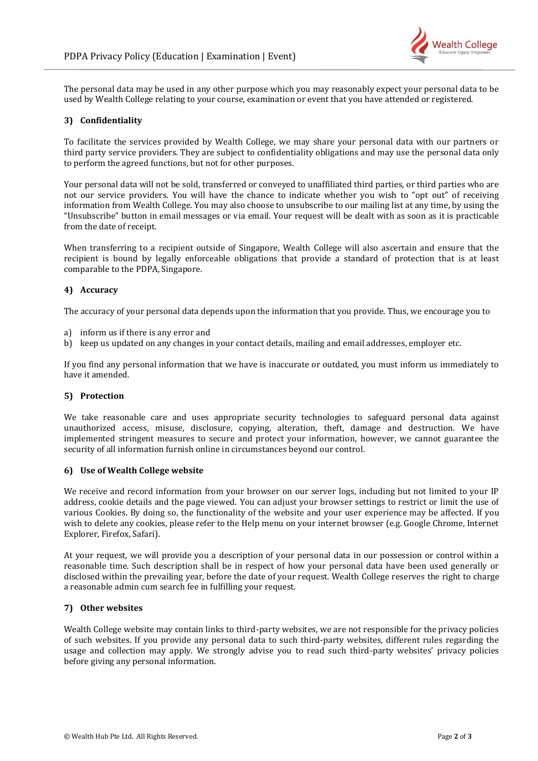

The personal data may be used in any other purpose which you may reasonably expect your personal data to be used by Wealth College relating to your course, examination or event that you have attended or registered.

## **3) Confidentiality**

To facilitate the services provided by Wealth College, we may share your personal data with our partners or third party service providers. They are subject to confidentiality obligations and may use the personal data only to perform the agreed functions, but not for other purposes.

Your personal data will not be sold, transferred or conveyed to unaffiliated third parties, or third parties who are not our service providers. You will have the chance to indicate whether you wish to "opt out" of receiving information from Wealth College. You may also choose to unsubscribe to our mailing list at any time, by using the "Unsubscribe" button in email messages or via email. Your request will be dealt with as soon as it is practicable from the date of receipt.

When transferring to a recipient outside of Singapore, Wealth College will also ascertain and ensure that the recipient is bound by legally enforceable obligations that provide a standard of protection that is at least comparable to the PDPA, Singapore.

# **4) Accuracy**

The accuracy of your personal data depends upon the information that you provide. Thus, we encourage you to

- a) inform us if there is any error and
- b) keep us updated on any changes in your contact details, mailing and email addresses, employer etc.

If you find any personal information that we have is inaccurate or outdated, you must inform us immediately to have it amended.

### **5) Protection**

We take reasonable care and uses appropriate security technologies to safeguard personal data against unauthorized access, misuse, disclosure, copying, alteration, theft, damage and destruction. We have implemented stringent measures to secure and protect your information, however, we cannot guarantee the security of all information furnish online in circumstances beyond our control.

#### **6) Use of Wealth College website**

We receive and record information from your browser on our server logs, including but not limited to your IP address, cookie details and the page viewed. You can adjust your browser settings to restrict or limit the use of various Cookies. By doing so, the functionality of the website and your user experience may be affected. If you wish to delete any cookies, please refer to the Help menu on your internet browser (e.g. Google Chrome, Internet Explorer, Firefox, Safari).

At your request, we will provide you a description of your personal data in our possession or control within a reasonable time. Such description shall be in respect of how your personal data have been used generally or disclosed within the prevailing year, before the date of your request. Wealth College reserves the right to charge a reasonable admin cum search fee in fulfilling your request.

### **7) Other websites**

Wealth College website may contain links to third-party websites, we are not responsible for the privacy policies of such websites. If you provide any personal data to such third-party websites, different rules regarding the usage and collection may apply. We strongly advise you to read such third-party websites' privacy policies before giving any personal information.